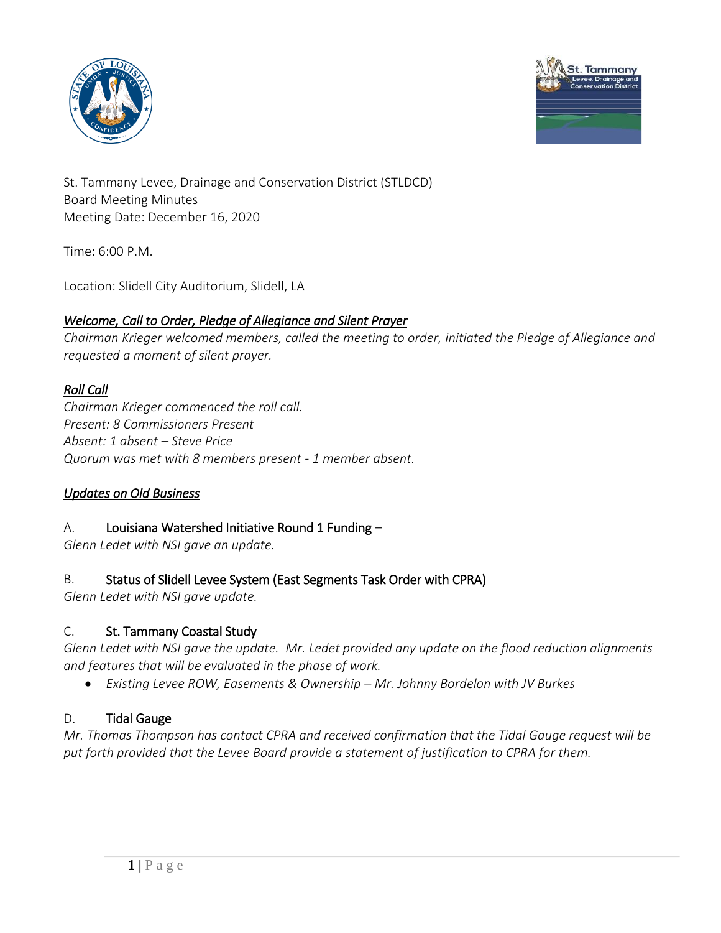



St. Tammany Levee, Drainage and Conservation District (STLDCD) Board Meeting Minutes Meeting Date: December 16, 2020

Time: 6:00 P.M.

Location: Slidell City Auditorium, Slidell, LA

## *Welcome, Call to Order, Pledge of Allegiance and Silent Prayer*

*Chairman Krieger welcomed members, called the meeting to order, initiated the Pledge of Allegiance and requested a moment of silent prayer.*

### *Roll Call*

*Chairman Krieger commenced the roll call. Present: 8 Commissioners Present Absent: 1 absent – Steve Price Quorum was met with 8 members present - 1 member absent.*

### *Updates on Old Business*

## A. Louisiana Watershed Initiative Round 1 Funding –

*Glenn Ledet with NSI gave an update.* 

### B. Status of Slidell Levee System (East Segments Task Order with CPRA)

*Glenn Ledet with NSI gave update.* 

### C. St. Tammany Coastal Study

*Glenn Ledet with NSI gave the update. Mr. Ledet provided any update on the flood reduction alignments and features that will be evaluated in the phase of work.*

*Existing Levee ROW, Easements & Ownership – Mr. Johnny Bordelon with JV Burkes*

### D. Tidal Gauge

*Mr. Thomas Thompson has contact CPRA and received confirmation that the Tidal Gauge request will be put forth provided that the Levee Board provide a statement of justification to CPRA for them.*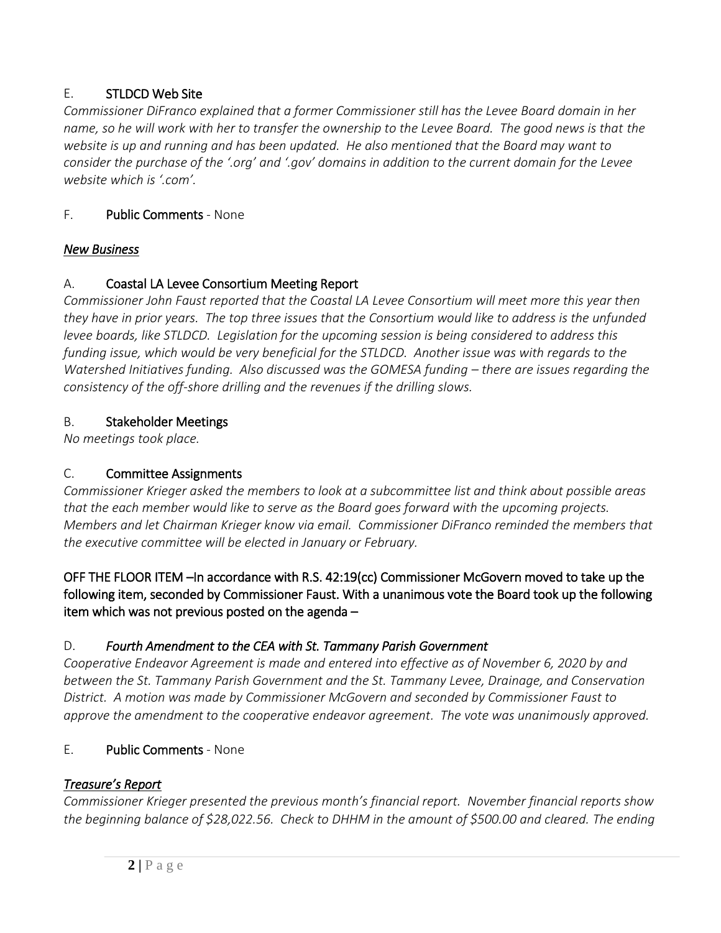## E. STLDCD Web Site

*Commissioner DiFranco explained that a former Commissioner still has the Levee Board domain in her name, so he will work with her to transfer the ownership to the Levee Board. The good news is that the website is up and running and has been updated. He also mentioned that the Board may want to consider the purchase of the '.org' and '.gov' domains in addition to the current domain for the Levee website which is '.com'.* 

## F. Public Comments - None

## *New Business*

## A. Coastal LA Levee Consortium Meeting Report

*Commissioner John Faust reported that the Coastal LA Levee Consortium will meet more this year then they have in prior years. The top three issues that the Consortium would like to address is the unfunded levee boards, like STLDCD. Legislation for the upcoming session is being considered to address this funding issue, which would be very beneficial for the STLDCD. Another issue was with regards to the Watershed Initiatives funding. Also discussed was the GOMESA funding – there are issues regarding the consistency of the off-shore drilling and the revenues if the drilling slows.*

## B. Stakeholder Meetings

*No meetings took place.*

# C. Committee Assignments

*Commissioner Krieger asked the members to look at a subcommittee list and think about possible areas that the each member would like to serve as the Board goes forward with the upcoming projects. Members and let Chairman Krieger know via email. Commissioner DiFranco reminded the members that the executive committee will be elected in January or February.*

## OFF THE FLOOR ITEM –In accordance with R.S. 42:19(cc) Commissioner McGovern moved to take up the following item, seconded by Commissioner Faust. With a unanimous vote the Board took up the following item which was not previous posted on the agenda –

## D. *Fourth Amendment to the CEA with St. Tammany Parish Government*

*Cooperative Endeavor Agreement is made and entered into effective as of November 6, 2020 by and between the St. Tammany Parish Government and the St. Tammany Levee, Drainage, and Conservation District. A motion was made by Commissioner McGovern and seconded by Commissioner Faust to approve the amendment to the cooperative endeavor agreement. The vote was unanimously approved.*

## E. Public Comments - None

# *Treasure's Report*

*Commissioner Krieger presented the previous month's financial report. November financial reports show the beginning balance of \$28,022.56. Check to DHHM in the amount of \$500.00 and cleared. The ending*